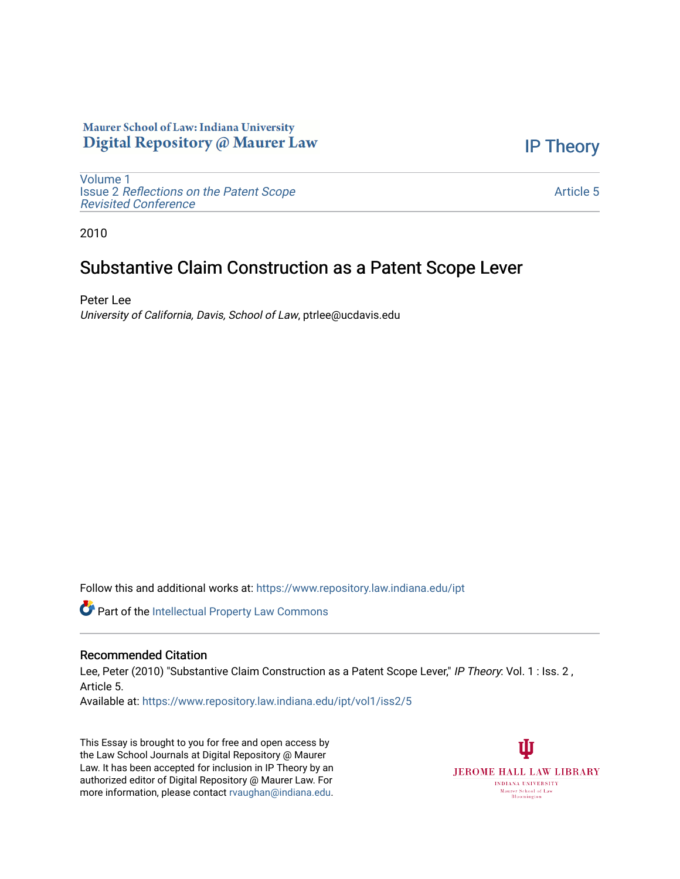## Maurer School of Law: Indiana University Digital Repository @ Maurer Law

[IP Theory](https://www.repository.law.indiana.edu/ipt) 

[Volume 1](https://www.repository.law.indiana.edu/ipt/vol1) Issue 2 [Reflections on the Patent Scope](https://www.repository.law.indiana.edu/ipt/vol1/iss2)  [Revisited Conference](https://www.repository.law.indiana.edu/ipt/vol1/iss2)

[Article 5](https://www.repository.law.indiana.edu/ipt/vol1/iss2/5) 

2010

# Substantive Claim Construction as a Patent Scope Lever

Peter Lee University of California, Davis, School of Law, ptrlee@ucdavis.edu

Follow this and additional works at: [https://www.repository.law.indiana.edu/ipt](https://www.repository.law.indiana.edu/ipt?utm_source=www.repository.law.indiana.edu%2Fipt%2Fvol1%2Fiss2%2F5&utm_medium=PDF&utm_campaign=PDFCoverPages) 

Part of the [Intellectual Property Law Commons](http://network.bepress.com/hgg/discipline/896?utm_source=www.repository.law.indiana.edu%2Fipt%2Fvol1%2Fiss2%2F5&utm_medium=PDF&utm_campaign=PDFCoverPages) 

### Recommended Citation

Lee, Peter (2010) "Substantive Claim Construction as a Patent Scope Lever," IP Theory: Vol. 1 : Iss. 2, Article 5.

Available at: [https://www.repository.law.indiana.edu/ipt/vol1/iss2/5](https://www.repository.law.indiana.edu/ipt/vol1/iss2/5?utm_source=www.repository.law.indiana.edu%2Fipt%2Fvol1%2Fiss2%2F5&utm_medium=PDF&utm_campaign=PDFCoverPages) 

This Essay is brought to you for free and open access by the Law School Journals at Digital Repository @ Maurer Law. It has been accepted for inclusion in IP Theory by an authorized editor of Digital Repository @ Maurer Law. For more information, please contact [rvaughan@indiana.edu](mailto:rvaughan@indiana.edu).

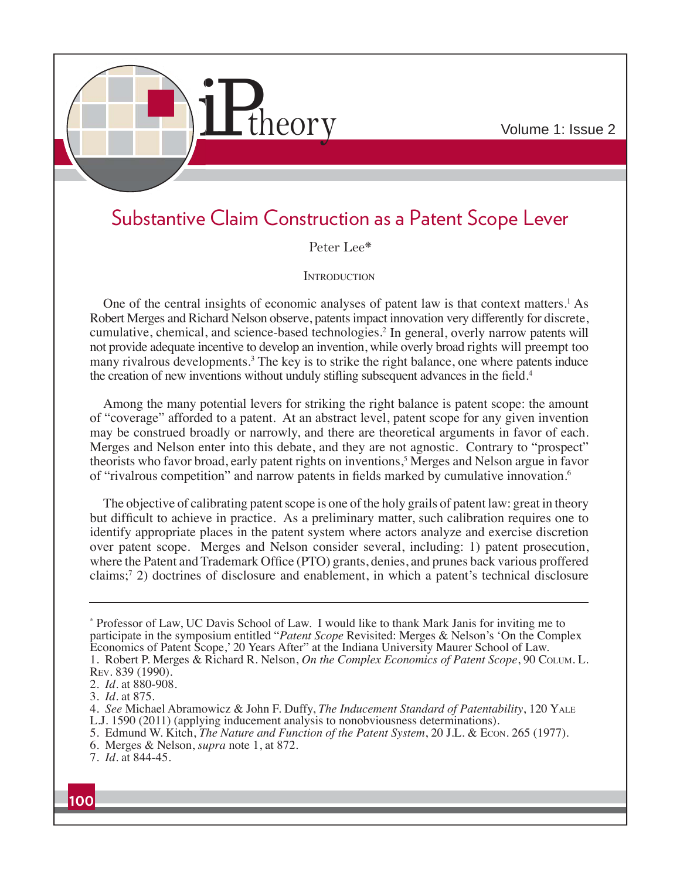

# Substantive Claim Construction as a Patent Scope Lever

Peter Lee\*

#### **INTRODUCTION**

One of the central insights of economic analyses of patent law is that context matters.<sup>1</sup> As Robert Merges and Richard Nelson observe, patents impact innovation very differently for discrete, cumulative, chemical, and science-based technologies.2 In general, overly narrow patents will not provide adequate incentive to develop an invention, while overly broad rights will preempt too many rivalrous developments.<sup>3</sup> The key is to strike the right balance, one where patents induce the creation of new inventions without unduly stifling subsequent advances in the field.<sup>4</sup>

Among the many potential levers for striking the right balance is patent scope: the amount of "coverage" afforded to a patent. At an abstract level, patent scope for any given invention may be construed broadly or narrowly, and there are theoretical arguments in favor of each. Merges and Nelson enter into this debate, and they are not agnostic. Contrary to "prospect" theorists who favor broad, early patent rights on inventions,<sup>5</sup> Merges and Nelson argue in favor of "rivalrous competition" and narrow patents in fields marked by cumulative innovation.<sup>6</sup>

The objective of calibrating patent scope is one of the holy grails of patent law: great in theory but difficult to achieve in practice. As a preliminary matter, such calibration requires one to identify appropriate places in the patent system where actors analyze and exercise discretion over patent scope. Merges and Nelson consider several, including: 1) patent prosecution, where the Patent and Trademark Office (PTO) grants, denies, and prunes back various proffered claims;7 2) doctrines of disclosure and enablement, in which a patent's technical disclosure

- 5. Edmund W. Kitch, *The Nature and Function of the Patent System*, 20 J.L. & Econ. 265 (1977).
- 6. Merges & Nelson, *supra* note 1, at 872.

<sup>\*</sup> Professor of Law, UC Davis School of Law. I would like to thank Mark Janis for inviting me to participate in the symposium entitled "*Patent Scope* Revisited: Merges & Nelson's 'On the Complex Economics of Patent Scope,' 20 Years After" at the Indiana University Maurer School of Law. 1. Robert P. Merges & Richard R. Nelson, *On the Complex Economics of Patent Scope*, 90 COLUM. L.

REV. 839 (1990).

<sup>2.</sup> *Id*. at 880-908.

<sup>3.</sup> *Id*. at 875.

<sup>4.</sup> *See* Michael Abramowicz & John F. Duffy, *The Inducement Standard of Patentability*, 120 YALE L.J. 1590 (2011) (applying inducement analysis to nonobviousness determinations).

<sup>7.</sup> *Id*. at 844-45.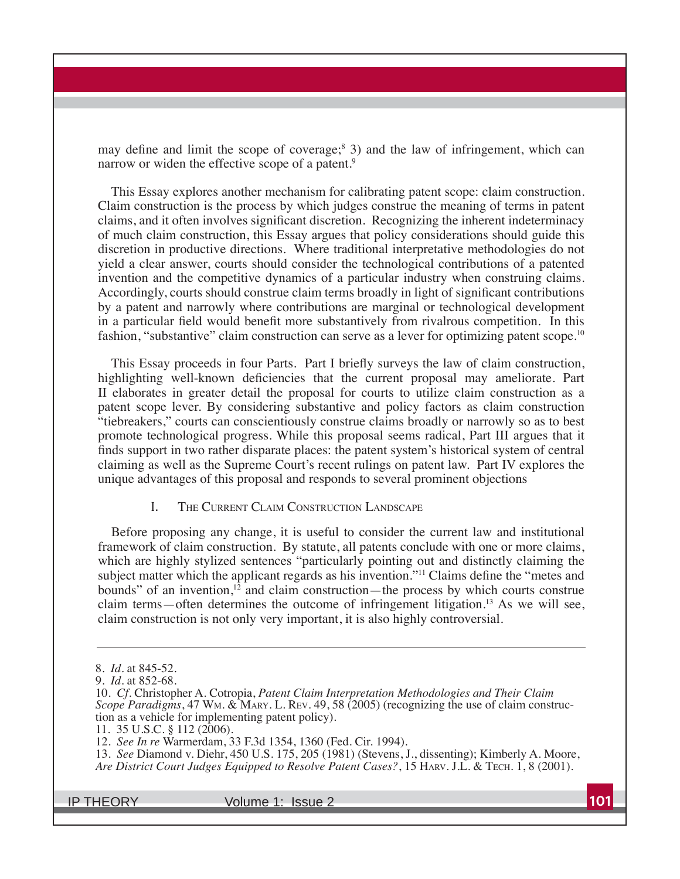may define and limit the scope of coverage;<sup>8</sup> 3) and the law of infringement, which can narrow or widen the effective scope of a patent.<sup>9</sup>

This Essay explores another mechanism for calibrating patent scope: claim construction. Claim construction is the process by which judges construe the meaning of terms in patent claims, and it often involves significant discretion. Recognizing the inherent indeterminacy of much claim construction, this Essay argues that policy considerations should guide this discretion in productive directions. Where traditional interpretative methodologies do not yield a clear answer, courts should consider the technological contributions of a patented invention and the competitive dynamics of a particular industry when construing claims. Accordingly, courts should construe claim terms broadly in light of significant contributions by a patent and narrowly where contributions are marginal or technological development in a particular field would benefit more substantively from rivalrous competition. In this fashion, "substantive" claim construction can serve as a lever for optimizing patent scope.<sup>10</sup>

This Essay proceeds in four Parts. Part I briefly surveys the law of claim construction, highlighting well-known deficiencies that the current proposal may ameliorate. Part II elaborates in greater detail the proposal for courts to utilize claim construction as a patent scope lever. By considering substantive and policy factors as claim construction "tiebreakers," courts can conscientiously construe claims broadly or narrowly so as to best promote technological progress. While this proposal seems radical, Part III argues that it finds support in two rather disparate places: the patent system's historical system of central claiming as well as the Supreme Court's recent rulings on patent law. Part IV explores the unique advantages of this proposal and responds to several prominent objections

#### I. THE CURRENT CLAIM CONSTRUCTION LANDSCAPE

Before proposing any change, it is useful to consider the current law and institutional framework of claim construction. By statute, all patents conclude with one or more claims, which are highly stylized sentences "particularly pointing out and distinctly claiming the subject matter which the applicant regards as his invention."<sup>11</sup> Claims define the "metes and bounds" of an invention, $12$  and claim construction—the process by which courts construe claim terms—often determines the outcome of infringement litigation.<sup>13</sup> As we will see, claim construction is not only very important, it is also highly controversial.

13. *See* Diamond v. Diehr, 450 U.S. 175, 205 (1981) (Stevens, J., dissenting); Kimberly A. Moore, *Are District Court Judges Equipped to Resolve Patent Cases*?, 15 HARV. J.L. & TECH. 1, 8 (2001).

<sup>8.</sup> *Id*. at 845-52.

<sup>9.</sup> *Id*. at 852-68.

<sup>10.</sup> *Cf.* Christopher A. Cotropia, *Patent Claim Interpretation Methodologies and Their Claim Scope Paradigms*, 47 Wm. & MARY. L. REV. 49, 58 (2005) (recognizing the use of claim construction as a vehicle for implementing patent policy).

<sup>11. 35</sup> U.S.C. § 112 (2006).

<sup>12.</sup> See In re Warmerdam, 33 F.3d 1354, 1360 (Fed. Cir. 1994).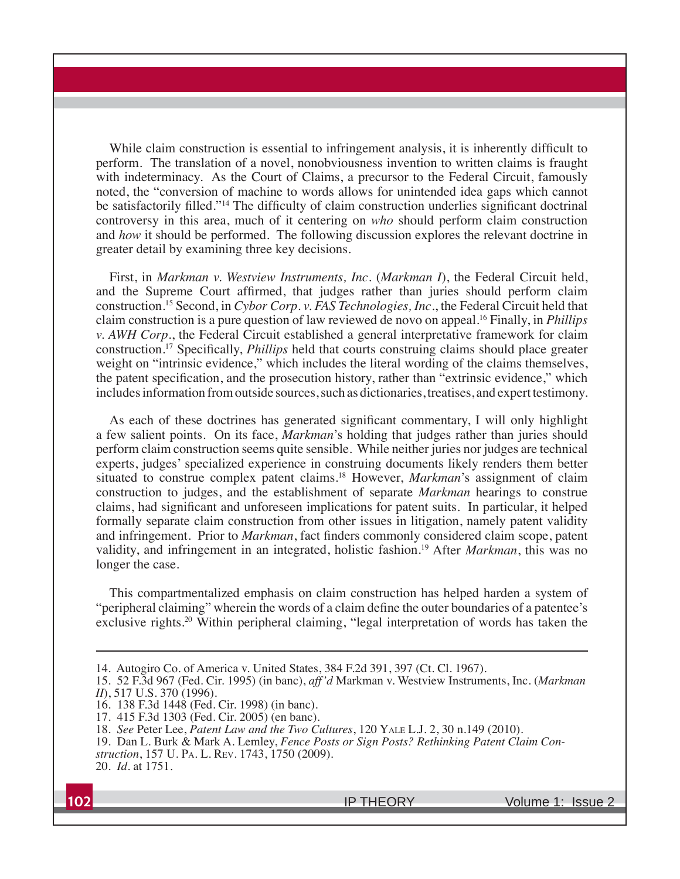While claim construction is essential to infringement analysis, it is inherently difficult to perform. The translation of a novel, nonobviousness invention to written claims is fraught with indeterminacy. As the Court of Claims, a precursor to the Federal Circuit, famously noted, the "conversion of machine to words allows for unintended idea gaps which cannot be satisfactorily filled."<sup>14</sup> The difficulty of claim construction underlies significant doctrinal controversy in this area, much of it centering on *who* should perform claim construction and *how* it should be performed. The following discussion explores the relevant doctrine in greater detail by examining three key decisions.

First, in *Markman v. Westview Instruments, Inc. (Markman I)*, the Federal Circuit held, and the Supreme Court affirmed, that judges rather than juries should perform claim construction.15 Second, in *Cybor Corp. v. FAS Technologies, Inc.*, the Federal Circuit held that claim construction is a pure question of law reviewed de novo on appeal.16 Finally, in *Phillips v. AWH Corp.*, the Federal Circuit established a general interpretative framework for claim construction.<sup>17</sup> Specifically, *Phillips* held that courts construing claims should place greater weight on "intrinsic evidence," which includes the literal wording of the claims themselves, the patent specification, and the prosecution history, rather than "extrinsic evidence," which includes information from outside sources, such as dictionaries, treatises, and expert testimony.

As each of these doctrines has generated significant commentary, I will only highlight a few salient points. On its face, *Markman*'s holding that judges rather than juries should perform claim construction seems quite sensible. While neither juries nor judges are technical experts, judges' specialized experience in construing documents likely renders them better situated to construe complex patent claims.<sup>18</sup> However, *Markman*'s assignment of claim construction to judges, and the establishment of separate *Markman* hearings to construe claims, had significant and unforeseen implications for patent suits. In particular, it helped formally separate claim construction from other issues in litigation, namely patent validity and infringement. Prior to *Markman*, fact finders commonly considered claim scope, patent validity, and infringement in an integrated, holistic fashion.<sup>19</sup> After *Markman*, this was no longer the case.

This compartmentalized emphasis on claim construction has helped harden a system of "peripheral claiming" wherein the words of a claim define the outer boundaries of a patentee's exclusive rights.20 Within peripheral claiming, "legal interpretation of words has taken the

20. *Id*. at 1751.

<sup>14.</sup> Autogiro Co. of America v. United States, 384 F.2d 391, 397 (Ct. Cl. 1967).

<sup>15. 52</sup> F.3d 967 (Fed. Cir. 1995) (in banc), aff'd Markman v. Westview Instruments, Inc. (Markman *II*), 517 U.S. 370 (1996).

<sup>16. 138</sup> F.3d 1448 (Fed. Cir. 1998) (in banc).

<sup>17. 415</sup> F.3d 1303 (Fed. Cir. 2005) (en banc).

<sup>18.</sup> *See* Peter Lee, *Patent Law and the Two Cultures*, 120 YALE L.J. 2, 30 n.149 (2010).

<sup>19.</sup> Dan L. Burk & Mark A. Lemley, *Fence Posts or Sign Posts? Rethinking Patent Claim Construction*, 157 U. PA. L. REV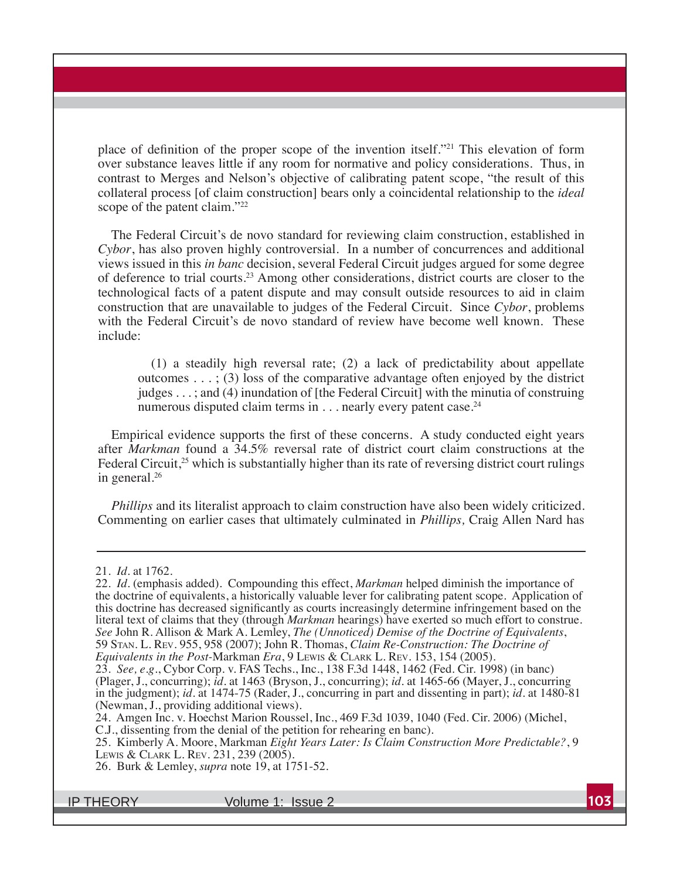place of definition of the proper scope of the invention itself."<sup>21</sup> This elevation of form over substance leaves little if any room for normative and policy considerations. Thus, in contrast to Merges and Nelson's objective of calibrating patent scope, "the result of this collateral process [of claim construction] bears only a coincidental relationship to the *ideal* scope of the patent claim."<sup>22</sup>

The Federal Circuit's de novo standard for reviewing claim construction, established in *Cybor*, has also proven highly controversial. In a number of concurrences and additional views issued in this *in banc* decision, several Federal Circuit judges argued for some degree of deference to trial courts.23 Among other considerations, district courts are closer to the technological facts of a patent dispute and may consult outside resources to aid in claim construction that are unavailable to judges of the Federal Circuit. Since *Cybor*, problems with the Federal Circuit's de novo standard of review have become well known. These include:

 $(1)$  a steadily high reversal rate;  $(2)$  a lack of predictability about appellate outcomes  $\dots$ ; (3) loss of the comparative advantage often enjoyed by the district judges  $\dots$ ; and (4) inundation of [the Federal Circuit] with the minutia of construing numerous disputed claim terms in . . . nearly every patent case.<sup>24</sup>

Empirical evidence supports the first of these concerns. A study conducted eight years after *Markman* found a 34.5% reversal rate of district court claim constructions at the Federal Circuit, $25$  which is substantially higher than its rate of reversing district court rulings in general.26

*Phillips* and its literalist approach to claim construction have also been widely criticized. Commenting on earlier cases that ultimately culminated in *Phillips,* Craig Allen Nard has

<sup>21.</sup> *Id*. at 1762.

<sup>22.</sup> *Id.* (emphasis added). Compounding this effect, *Markman* helped diminish the importance of the doctrine of equivalents, a historically valuable lever for calibrating patent scope. Application of this doctrine has decreased significantly as courts increasingly determine infringement based on the literal text of claims that they (through *Markman* hearings) have exerted so much effort to construe.<br>See John R. Allison & Mark A. Lemley, *The (Unnoticed) Demise of the Doctrine of Equivalents*, 59 STAN. L. REV. 955, 958 (2007); John R. Thomas, *Claim Re-Construction: The Doctrine of Equivalents in the Post-*Markman *Era*, 9 LEWIS & CLARK L. REV.

<sup>23.</sup> *See, e.g.*, Cybor Corp. v. FAS Techs., Inc., 138 F.3d 1448, 1462 (Fed. Cir. 1998) (in banc) (Plager, J., concurring);  $id$ . at 1463 (Bryson, J., concurring);  $id$ . at 1465-66 (Mayer, J., concurring) in the judgment); *id.* at 1474-75 (Rader, J., concurring in part and dissenting in part); *id.* at 1480-81 (Newman, J., providing additional views).

<sup>24.</sup> Amgen Inc. v. Hoechst Marion Roussel, Inc., 469 F.3d 1039, 1040 (Fed. Cir. 2006) (Michel,

C.J., dissenting from the denial of the petition for rehearing en banc).

<sup>25.</sup> Kimberly A. Moore, Markman *Eight Years Later: Is Claim Construction More Predictable?*, 9 LEWIS & CLARK L. REV. 231, 239 (2005).

<sup>26.</sup> Burk & Lemley, *supra* note 19, at 1751-52.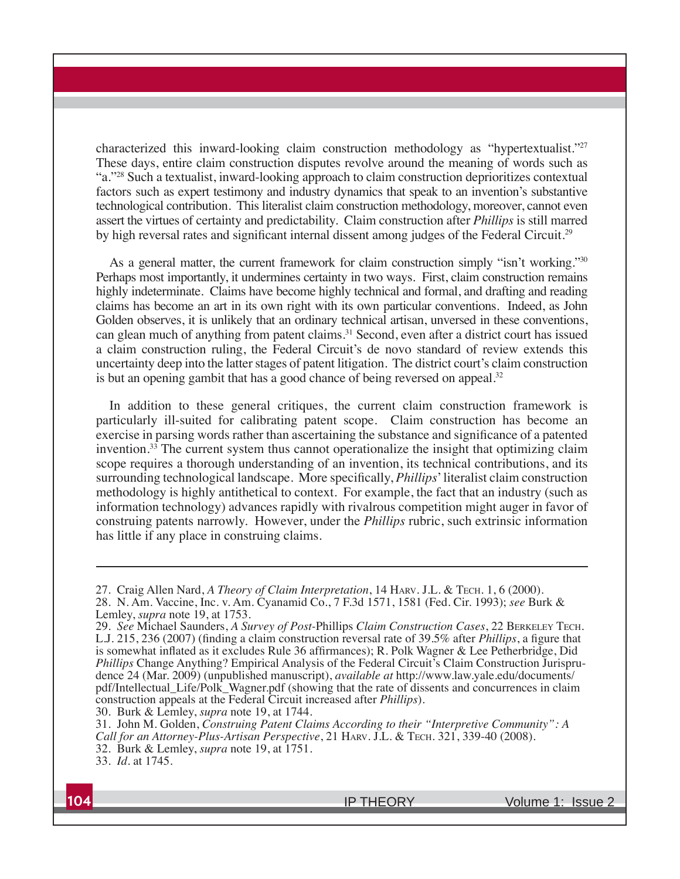characterized this inward-looking claim construction methodology as "hypertextualist."<sup>27</sup> These days, entire claim construction disputes revolve around the meaning of words such as "a."28 Such a textualist, inward-looking approach to claim construction deprioritizes contextual factors such as expert testimony and industry dynamics that speak to an invention's substantive technological contribution. This literalist claim construction methodology, moreover, cannot even assert the virtues of certainty and predictability. Claim construction after *Phillips* is still marred by high reversal rates and significant internal dissent among judges of the Federal Circuit.<sup>29</sup>

As a general matter, the current framework for claim construction simply "isn't working."30 Perhaps most importantly, it undermines certainty in two ways. First, claim construction remains highly indeterminate. Claims have become highly technical and formal, and drafting and reading claims has become an art in its own right with its own particular conventions. Indeed, as John Golden observes, it is unlikely that an ordinary technical artisan, unversed in these conventions, can glean much of anything from patent claims.<sup>31</sup> Second, even after a district court has issued a claim construction ruling, the Federal Circuit's de novo standard of review extends this uncertainty deep into the latter stages of patent litigation. The district court's claim construction is but an opening gambit that has a good chance of being reversed on appeal.<sup>32</sup>

In addition to these general critiques, the current claim construction framework is particularly ill-suited for calibrating patent scope. Claim construction has become an exercise in parsing words rather than ascertaining the substance and significance of a patented invention.33 The current system thus cannot operationalize the insight that optimizing claim scope requires a thorough understanding of an invention, its technical contributions, and its surrounding technological landscape. More specifically, *Phillips*' literalist claim construction methodology is highly antithetical to context. For example, the fact that an industry (such as information technology) advances rapidly with rivalrous competition might auger in favor of construing patents narrowly. However, under the *Phillips* rubric, such extrinsic information has little if any place in construing claims.

30. Burk & Lemley, *supra* note 19, at 1744.

<sup>27.</sup> Craig Allen Nard, *A Theory of Claim Interpretation*, 14 HARV. J.L. & TECH.

<sup>28.</sup> N. Am. Vaccine, Inc. v. Am. Cyanamid Co., 7 F.3d 1571, 1581 (Fed. Cir. 1993); see Burk & Lemley, *supra* note 19, at 1753.

<sup>29.</sup> *See* Michael Saunders, *A Survey of Post-*Phillips *Claim Construction Cases*, 22 BERKELEY TECH. L.J. 215, 236 (2007) (finding a claim construction reversal rate of 39.5% after *Phillips*, a figure that is somewhat inflated as it excludes Rule 36 affirmances); R. Polk Wagner & Lee Petherbridge, Did *Phillips* Change Anything? Empirical Analysis of the Federal Circuit's Claim Construction Jurisprudence 24 (Mar. 2009) (unpublished manuscript), *available at* http://www.law.yale.edu/documents/ pdf/Intellectual Life/Polk Wagner.pdf (showing that the rate of dissents and concurrences in claim construction appeals at the Federal Circuit increased after *Phillips*).

<sup>31.</sup> John M. Golden, *Construing Patent Claims According to their "Interpretive Community": A Call for an Attorney-Plus-Artisan Perspective*, 21 HARV. J.L. & TECH. 321, 339-40 (2008). 32. Burk & Lemley, *supra* note 19, at 1751.

<sup>33.</sup> *Id*. at 1745.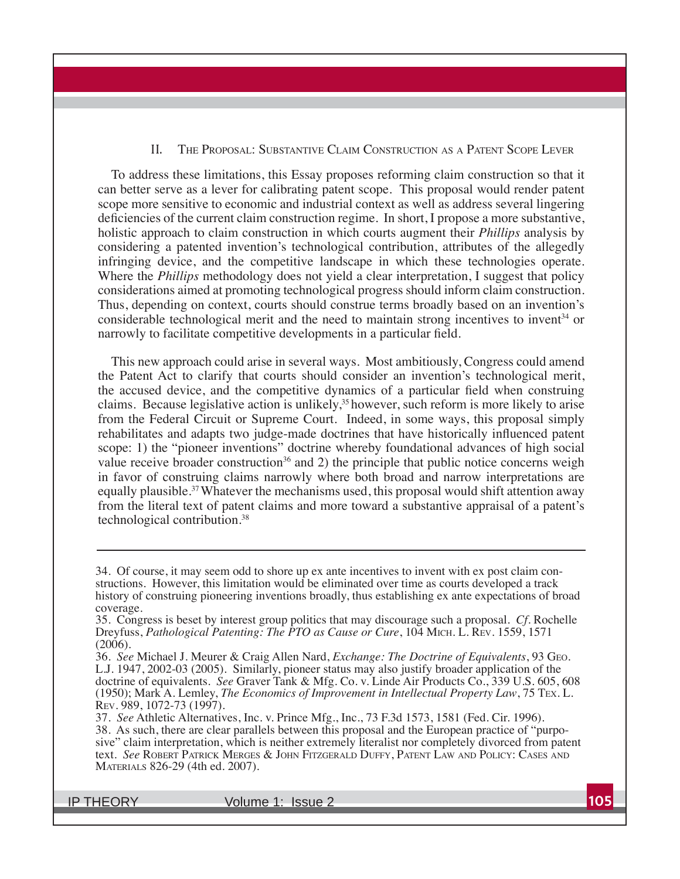#### II. THE PROPOSAL: SUBSTANTIVE CLAIM CONSTRUCTION AS A PATENT SCOPE LEVER

To address these limitations, this Essay proposes reforming claim construction so that it can better serve as a lever for calibrating patent scope. This proposal would render patent scope more sensitive to economic and industrial context as well as address several lingering deficiencies of the current claim construction regime. In short, I propose a more substantive, holistic approach to claim construction in which courts augment their *Phillips* analysis by considering a patented invention's technological contribution, attributes of the allegedly infringing device, and the competitive landscape in which these technologies operate. Where the *Phillips* methodology does not yield a clear interpretation, I suggest that policy considerations aimed at promoting technological progress should inform claim construction. Thus, depending on context, courts should construe terms broadly based on an invention's considerable technological merit and the need to maintain strong incentives to invent<sup>34</sup> or narrowly to facilitate competitive developments in a particular field.

This new approach could arise in several ways. Most ambitiously, Congress could amend the Patent Act to clarify that courts should consider an invention's technological merit, the accused device, and the competitive dynamics of a particular field when construing claims. Because legislative action is unlikely,<sup>35</sup> however, such reform is more likely to arise from the Federal Circuit or Supreme Court. Indeed, in some ways, this proposal simply rehabilitates and adapts two judge-made doctrines that have historically influenced patent scope: 1) the "pioneer inventions" doctrine whereby foundational advances of high social value receive broader construction<sup>36</sup> and 2) the principle that public notice concerns weigh in favor of construing claims narrowly where both broad and narrow interpretations are equally plausible.<sup>37</sup> Whatever the mechanisms used, this proposal would shift attention away from the literal text of patent claims and more toward a substantive appraisal of a patent's technological contribution.38

<sup>34.</sup> Of course, it may seem odd to shore up ex ante incentives to invent with ex post claim constructions. However, this limitation would be eliminated over time as courts developed a track history of construing pioneering inventions broadly, thus establishing ex ante expectations of broad coverage.

<sup>35.</sup> Congress is beset by interest group politics that may discourage such a proposal. *Cf*. Rochelle Dreyfuss, *Pathological Patenting: The PTO as Cause or Cure*, 104 MICH. L. REV. 1559, 1571  $(2006).$ 

<sup>36.</sup> *See* Michael J. Meurer & Craig Allen Nard, *Exchange: The Doctrine of Equivalents*, 93 GEO. L.J. 1947, 2002-03 (2005). Similarly, pioneer status may also justify broader application of the doctrine of equivalents. *See* Graver Tank & Mfg. Co. v. Linde Air Products Co., 339 U.S. 605, 608 (1950); Mark A. Lemley, *The Economics of Improvement in Intellectual Property Law*, 75 Tex. L. REV. 989, 1072-73 (1997).

<sup>37.</sup> *See* Athletic Alternatives, Inc. v. Prince Mfg., Inc., 73 F.3d 1573, 1581 (Fed. Cir. 1996). 38. As such, there are clear parallels between this proposal and the European practice of "purposive" claim interpretation, which is neither extremely literalist nor completely divorced from patent text. *See* ROBERT PATRICK MERGES & JOHN FITZGERALD DUFFY, PATENT LAW AND POLICY: CASES AND MATERIALS 826-29 (4th ed. 2007).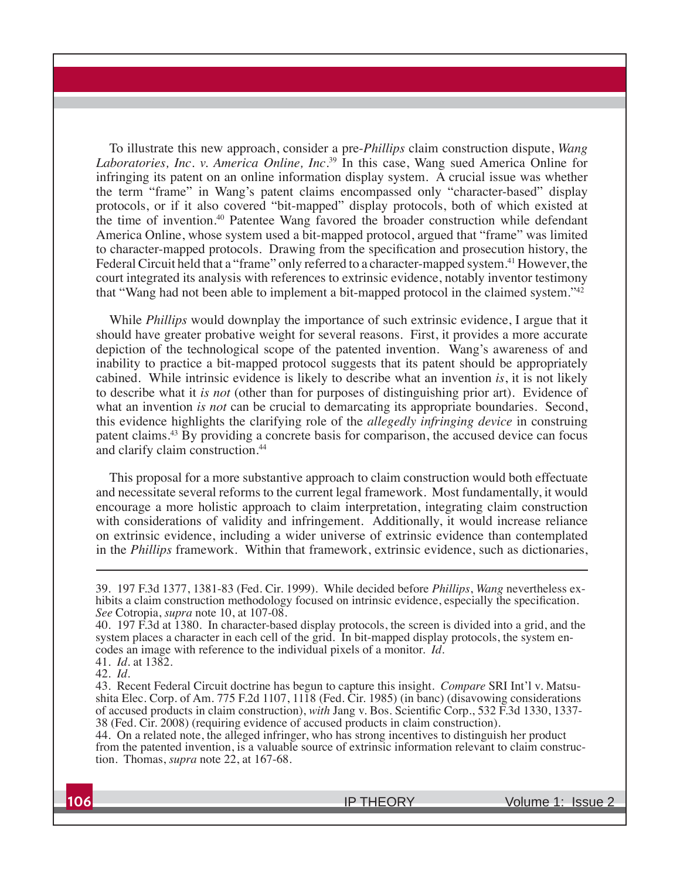To illustrate this new approach, consider a pre-*Phillips* claim construction dispute, *Wang Laboratories, Inc. v. America Online, Inc*. 39 In this case, Wang sued America Online for infringing its patent on an online information display system. A crucial issue was whether the term "frame" in Wang's patent claims encompassed only "character-based" display protocols, or if it also covered "bit-mapped" display protocols, both of which existed at the time of invention.40 Patentee Wang favored the broader construction while defendant America Online, whose system used a bit-mapped protocol, argued that "frame" was limited to character-mapped protocols. Drawing from the specification and prosecution history, the Federal Circuit held that a "frame" only referred to a character-mapped system.<sup>41</sup> However, the court integrated its analysis with references to extrinsic evidence, notably inventor testimony that "Wang had not been able to implement a bit-mapped protocol in the claimed system."42

While *Phillips* would downplay the importance of such extrinsic evidence, I argue that it should have greater probative weight for several reasons. First, it provides a more accurate depiction of the technological scope of the patented invention. Wang's awareness of and inability to practice a bit-mapped protocol suggests that its patent should be appropriately cabined. While intrinsic evidence is likely to describe what an invention *is*, it is not likely to describe what it *is not* (other than for purposes of distinguishing prior art). Evidence of what an invention *is not* can be crucial to demarcating its appropriate boundaries. Second, this evidence highlights the clarifying role of the *allegedly infringing device* in construing patent claims.43 By providing a concrete basis for comparison, the accused device can focus and clarify claim construction.<sup>44</sup>

This proposal for a more substantive approach to claim construction would both effectuate and necessitate several reforms to the current legal framework. Most fundamentally, it would encourage a more holistic approach to claim interpretation, integrating claim construction with considerations of validity and infringement. Additionally, it would increase reliance on extrinsic evidence, including a wider universe of extrinsic evidence than contemplated in the *Phillips* framework. Within that framework, extrinsic evidence, such as dictionaries,

<sup>39. 197</sup> F.3d 1377, 1381-83 (Fed. Cir. 1999). While decided before *Phillips*, *Wang* nevertheless exhibits a claim construction methodology focused on intrinsic evidence, especially the specification. *See* Cotropia, *supra* note 10, at 107-08.

<sup>40. 197</sup> F.3d at 1380. In character-based display protocols, the screen is divided into a grid, and the system places a character in each cell of the grid. In bit-mapped display protocols, the system encodes an image with reference to the individual pixels of a monitor. *Id*. 41. *Id*. at 1382.

<sup>42.</sup> *Id*. 43. Recent Federal Circuit doctrine has begun to capture this insight. *Compare* SRI Int'l v. Matsushita Elec. Corp. of Am. 775 F.2d 1107,  $11\overline{18}$  (Fed. Cir. 1985) (in banc) (disavowing considerations of accused products in claim construction), *with* Jang v. Bos. Scientific Corp., 532 F.3d 1330, 1337-38 (Fed. Cir. 2008) (requiring evidence of accused products in claim construction).

<sup>44.</sup> On a related note, the alleged infringer, who has strong incentives to distinguish her product from the patented invention, is a valuable source of extrinsic information relevant to claim construction. Thomas, *supra* note 22, at 167-68.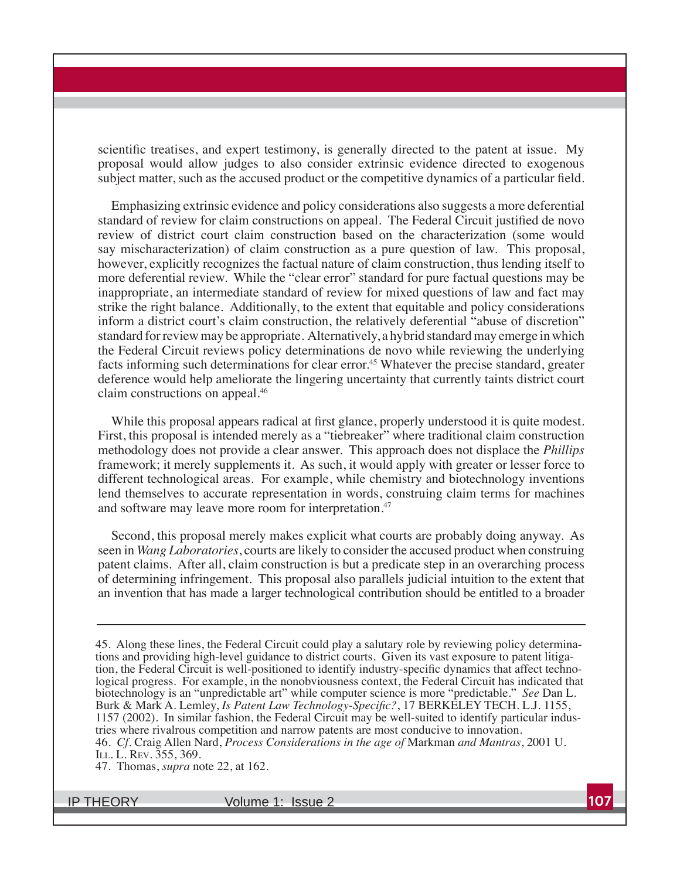scientific treatises, and expert testimony, is generally directed to the patent at issue. My proposal would allow judges to also consider extrinsic evidence directed to exogenous subject matter, such as the accused product or the competitive dynamics of a particular field.

Emphasizing extrinsic evidence and policy considerations also suggests a more deferential standard of review for claim constructions on appeal. The Federal Circuit justified de novo review of district court claim construction based on the characterization (some would say mischaracterization) of claim construction as a pure question of law. This proposal, however, explicitly recognizes the factual nature of claim construction, thus lending itself to more deferential review. While the "clear error" standard for pure factual questions may be inappropriate, an intermediate standard of review for mixed questions of law and fact may strike the right balance. Additionally, to the extent that equitable and policy considerations inform a district court's claim construction, the relatively deferential "abuse of discretion" standard for review may be appropriate. Alternatively, a hybrid standard may emerge in which the Federal Circuit reviews policy determinations de novo while reviewing the underlying facts informing such determinations for clear error.<sup>45</sup> Whatever the precise standard, greater deference would help ameliorate the lingering uncertainty that currently taints district court claim constructions on appeal.46

While this proposal appears radical at first glance, properly understood it is quite modest. First, this proposal is intended merely as a "tiebreaker" where traditional claim construction methodology does not provide a clear answer. This approach does not displace the *Phillips* framework; it merely supplements it. As such, it would apply with greater or lesser force to different technological areas. For example, while chemistry and biotechnology inventions lend themselves to accurate representation in words, construing claim terms for machines and software may leave more room for interpretation.<sup>47</sup>

Second, this proposal merely makes explicit what courts are probably doing anyway. As seen in *Wang Laboratories*, courts are likely to consider the accused product when construing patent claims. After all, claim construction is but a predicate step in an overarching process of determining infringement. This proposal also parallels judicial intuition to the extent that an invention that has made a larger technological contribution should be entitled to a broader

47. Thomas, *supra* note 22, at 162.

<sup>45.</sup> Along these lines, the Federal Circuit could play a salutary role by reviewing policy determinations and providing high-level guidance to district courts. Given its vast exposure to patent litigation, the Federal Circuit is well-positioned to identify industry-specific dynamics that affect technological progress. For example, in the nonobviousness context, the Federal Circuit has indicated that biotechnology is an "unpredictable art" while computer science is more "predictable." *See* Dan L. Burk & Mark A. Lemley, *Is Patent Law Technology-Specific?*, 17 BERKELEY TECH. L.J. 1155,  $1157 (2002)$ . In similar fashion, the Federal Circuit may be well-suited to identify particular industries where rivalrous competition and narrow patents are most conducive to innovation. 46. *Cf*. Craig Allen Nard, *Process Considerations in the age of* Markman *and Mantras*, 2001 U. ILL. L. REV. 355, 369.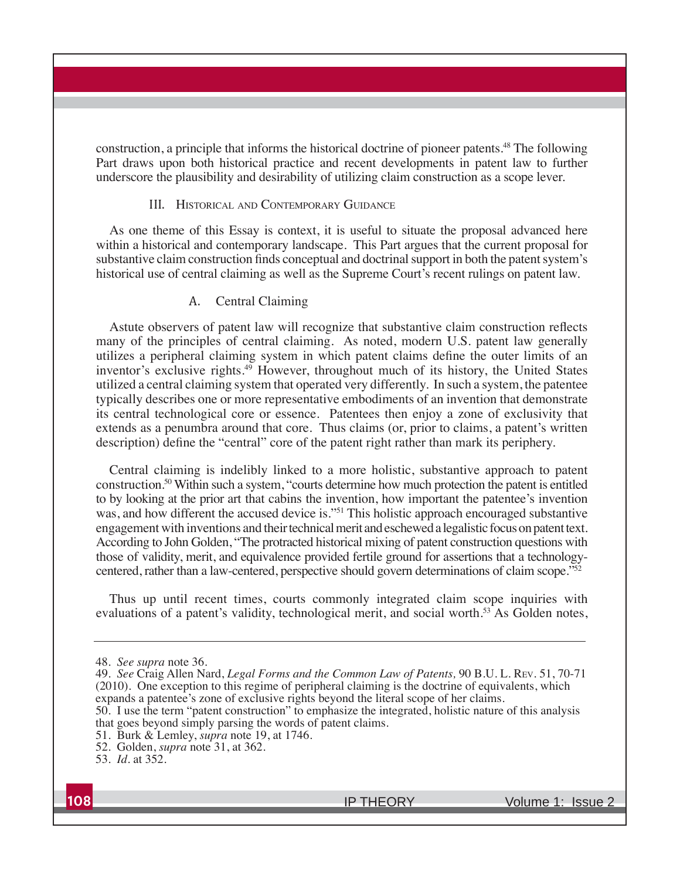construction, a principle that informs the historical doctrine of pioneer patents.48 The following Part draws upon both historical practice and recent developments in patent law to further underscore the plausibility and desirability of utilizing claim construction as a scope lever.

#### III. HISTORICAL AND CONTEMPORARY GUIDANCE

As one theme of this Essay is context, it is useful to situate the proposal advanced here within a historical and contemporary landscape. This Part argues that the current proposal for substantive claim construction finds conceptual and doctrinal support in both the patent system's historical use of central claiming as well as the Supreme Court's recent rulings on patent law.

#### A. Central Claiming

A stute observers of patent law will recognize that substantive claim construction reflects many of the principles of central claiming. As noted, modern U.S. patent law generally utilizes a peripheral claiming system in which patent claims define the outer limits of an inventor's exclusive rights.<sup>49</sup> However, throughout much of its history, the United States utilized a central claiming system that operated very differently. In such a system, the patentee typically describes one or more representative embodiments of an invention that demonstrate its central technological core or essence. Patentees then enjoy a zone of exclusivity that extends as a penumbra around that core. Thus claims (or, prior to claims, a patent's written description) define the "central" core of the patent right rather than mark its periphery.

Central claiming is indelibly linked to a more holistic, substantive approach to patent construction.50 Within such a system, "courts determine how much protection the patent is entitled to by looking at the prior art that cabins the invention, how important the patentee's invention was, and how different the accused device is."<sup>51</sup> This holistic approach encouraged substantive engagement with inventions and their technical merit and eschewed a legalistic focus on patent text. According to John Golden, "The protracted historical mixing of patent construction questions with those of validity, merit, and equivalence provided fertile ground for assertions that a technologycentered, rather than a law-centered, perspective should govern determinations of claim scope."52

Thus up until recent times, courts commonly integrated claim scope inquiries with evaluations of a patent's validity, technological merit, and social worth.<sup>53</sup> As Golden notes,

50. I use the term "patent construction" to emphasize the integrated, holistic nature of this analysis that goes beyond simply parsing the words of patent claims.

<sup>48.</sup> *See supra* note 36.

<sup>49.</sup> *See* Craig Allen Nard, *Legal Forms and the Common Law of Patents,* 90 B.U. L. REV. 51, 70-71  $(2010)$ . One exception to this regime of peripheral claiming is the doctrine of equivalents, which expands a patentee's zone of exclusive rights beyond the literal scope of her claims.

<sup>51.</sup> Burk & Lemley, *supra* note 19, at 1746.

<sup>52.</sup> Golden, *supra* note 31, at 362.

<sup>53.</sup> *Id*. at 352.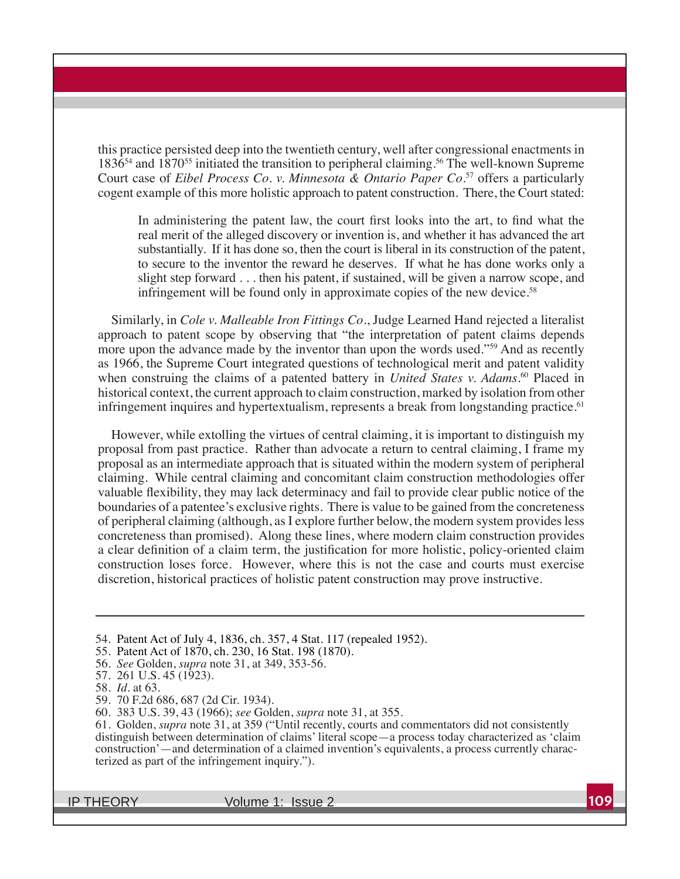this practice persisted deep into the twentieth century, well after congressional enactments in 1836<sup>54</sup> and 1870<sup>55</sup> initiated the transition to peripheral claiming.<sup>56</sup> The well-known Supreme Court case of *Eibel Process Co. v. Minnesota & Ontario Paper Co.*<sup>57</sup> offers a particularly cogent example of this more holistic approach to patent construction. There, the Court stated:

In administering the patent law, the court first looks into the art, to find what the real merit of the alleged discovery or invention is, and whether it has advanced the art substantially. If it has done so, then the court is liberal in its construction of the patent, to secure to the inventor the reward he deserves. If what he has done works only a slight step forward . . . then his patent, if sustained, will be given a narrow scope, and infringement will be found only in approximate copies of the new device.<sup>58</sup>

Similarly, in *Cole v. Malleable Iron Fittings Co.*, Judge Learned Hand rejected a literalist approach to patent scope by observing that "the interpretation of patent claims depends more upon the advance made by the inventor than upon the words used."<sup>59</sup> And as recently as 1966, the Supreme Court integrated questions of technological merit and patent validity when construing the claims of a patented battery in *United States v. Adams*. 60 Placed in historical context, the current approach to claim construction, marked by isolation from other infringement inquires and hypertextualism, represents a break from longstanding practice.<sup>61</sup>

However, while extolling the virtues of central claiming, it is important to distinguish my proposal from past practice. Rather than advocate a return to central claiming, I frame my proposal as an intermediate approach that is situated within the modern system of peripheral claiming. While central claiming and concomitant claim construction methodologies offer valuable flexibility, they may lack determinacy and fail to provide clear public notice of the boundaries of a patentee's exclusive rights. There is value to be gained from the concreteness of peripheral claiming (although, as I explore further below, the modern system provides less concreteness than promised). Along these lines, where modern claim construction provides a clear definition of a claim term, the justification for more holistic, policy-oriented claim construction loses force. However, where this is not the case and courts must exercise discretion, historical practices of holistic patent construction may prove instructive.

<sup>54.</sup> Patent Act of July 4, 1836, ch. 357, 4 Stat. 117 (repealed 1952).

<sup>55.</sup> Patent Act of 1870, ch. 230, 16 Stat. 198 (1870).

<sup>56.</sup> *See* Golden, *supra* note 31, at 349, 353-56.

<sup>57. 261</sup> U.S. 45 (1923).

<sup>58.</sup> *Id.* at 63.

<sup>59. 70</sup> F.2d 686, 687 (2d Cir. 1934).

<sup>86</sup>*see* Golden, *supra* note 31, at 355.

<sup>61.</sup> Golden, *supra* note 31, at 359 ("Until recently, courts and commentators did not consistently distinguish between determination of claims' literal scope—a process today characterized as 'claim construction'—and determination of a claimed invention's equivalents, a process currently characterized as part of the infringement inquiry.").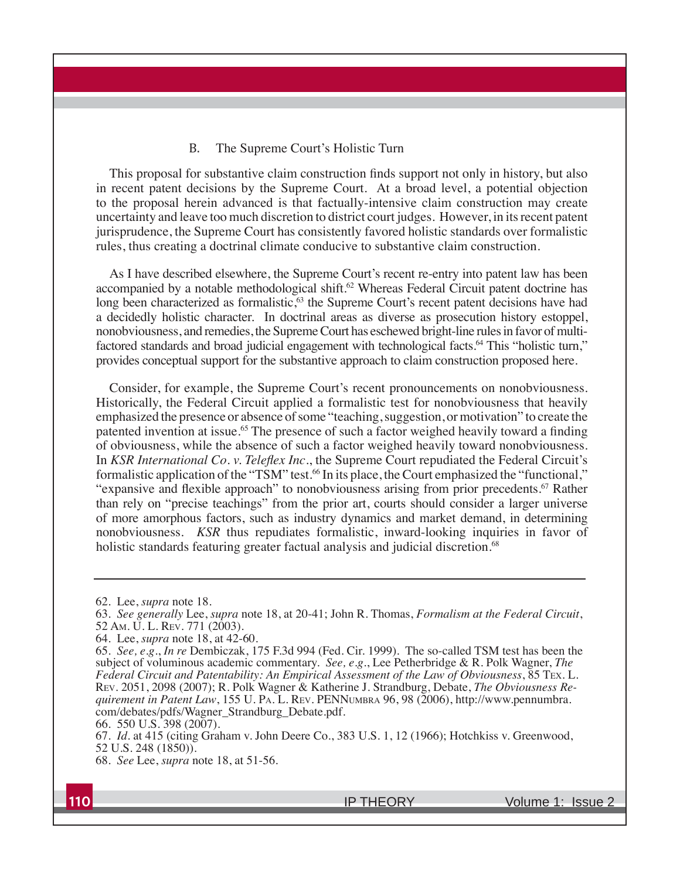#### B. The Supreme Court's Holistic Turn

This proposal for substantive claim construction finds support not only in history, but also in recent patent decisions by the Supreme Court. At a broad level, a potential objection to the proposal herein advanced is that factually-intensive claim construction may create uncertainty and leave too much discretion to district court judges. However, in its recent patent jurisprudence, the Supreme Court has consistently favored holistic standards over formalistic rules, thus creating a doctrinal climate conducive to substantive claim construction.

As I have described elsewhere, the Supreme Court's recent re-entry into patent law has been accompanied by a notable methodological shift.<sup>62</sup> Whereas Federal Circuit patent doctrine has long been characterized as formalistic,<sup>63</sup> the Supreme Court's recent patent decisions have had a decidedly holistic character. In doctrinal areas as diverse as prosecution history estoppel, nonobviousness, and remedies, the Supreme Court has eschewed bright-line rules in favor of multifactored standards and broad judicial engagement with technological facts.<sup>64</sup> This "holistic turn," provides conceptual support for the substantive approach to claim construction proposed here.

Consider, for example, the Supreme Court's recent pronouncements on nonobviousness. Historically, the Federal Circuit applied a formalistic test for nonobviousness that heavily emphasized the presence or absence of some "teaching, suggestion, or motivation" to create the patented invention at issue.<sup>65</sup> The presence of such a factor weighed heavily toward a finding of obviousness, while the absence of such a factor weighed heavily toward nonobviousness. In *KSR International Co. v. Teleflex Inc.*, the Supreme Court repudiated the Federal Circuit's formalistic application of the "TSM" test.<sup>66</sup> In its place, the Court emphasized the "functional," "expansive and flexible approach" to nonobviousness arising from prior precedents.<sup>67</sup> Rather than rely on "precise teachings" from the prior art, courts should consider a larger universe of more amorphous factors, such as industry dynamics and market demand, in determining nonobviousness. *KSR* thus repudiates formalistic, inward-looking inquiries in favor of holistic standards featuring greater factual analysis and judicial discretion.<sup>68</sup>

<sup>62.</sup> Lee, *supra* note 18.

<sup>63.</sup> *See generally* Lee, *supra* note 18, at 20-41; John R. Thomas, *Formalism at the Federal Circuit*, 52 Am. U.L. REV. 771 (2003).

<sup>64.</sup> Lee, *supra* note 18, at 42-60.

<sup>65.</sup> *See, e.g., In re* Dembiczak, 175 F.3d 994 (Fed. Cir. 1999). The so-called TSM test has been the subject of voluminous academic commentary. *See, e.g.*, Lee Petherbridge & R. Polk Wagner, *The Federal Circuit and Patentability: An Empirical Assessment of the Law of Obviousness*, 85 TEX. L. REV. 2051, 2098 (2007); R. Polk Wagner & Katherine J. Strandburg, Debate, *The Obviousness Requirement in Patent Law*, 155 U. PA. L. REV. PENNUMBRA 96, 98 (2006), http://www.pennumbra. com/debates/pdfs/Wagner\_Strandburg\_Debate.pdf.

<sup>66. 550</sup> U.S. 398 (2007).

<sup>67.</sup> *Id.* at 415 (citing Graham v. John Deere Co., 383 U.S. 1, 12 (1966); Hotchkiss v. Greenwood, 52 U.S. 248 (1850)).

<sup>68.</sup> *See* Lee, *supra* note 18, at 51-56.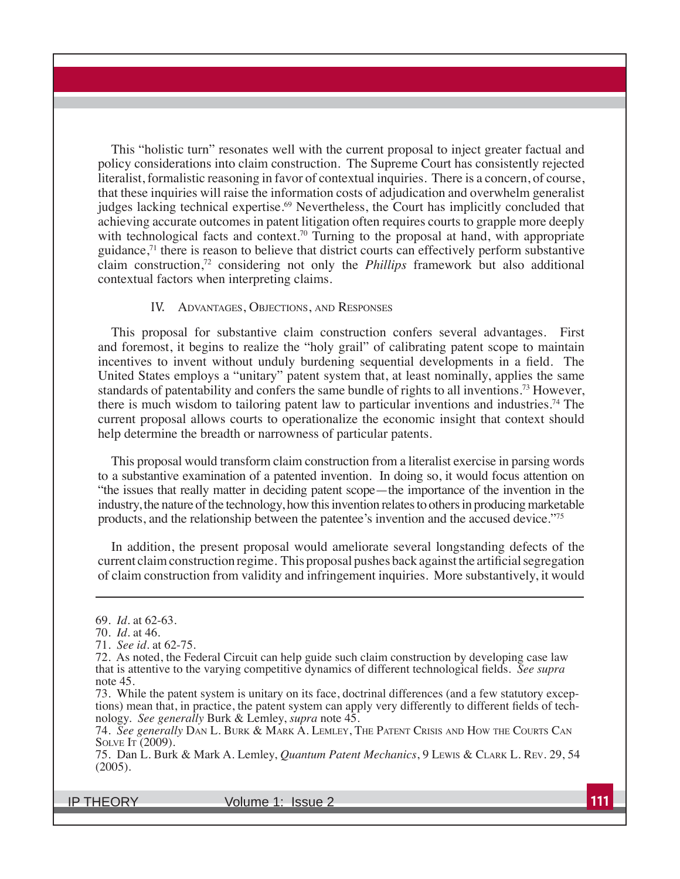This "holistic turn" resonates well with the current proposal to inject greater factual and policy considerations into claim construction. The Supreme Court has consistently rejected literalist, formalistic reasoning in favor of contextual inquiries. There is a concern, of course, that these inquiries will raise the information costs of adjudication and overwhelm generalist judges lacking technical expertise.<sup>69</sup> Nevertheless, the Court has implicitly concluded that achieving accurate outcomes in patent litigation often requires courts to grapple more deeply with technological facts and context.<sup>70</sup> Turning to the proposal at hand, with appropriate guidance, $7<sup>1</sup>$  there is reason to believe that district courts can effectively perform substantive claim construction,72 considering not only the *Phillips* framework but also additional contextual factors when interpreting claims.

#### IV. ADVANTAGES, OBJECTIONS, AND RESPONSES

This proposal for substantive claim construction confers several advantages. First and foremost, it begins to realize the "holy grail" of calibrating patent scope to maintain incentives to invent without unduly burdening sequential developments in a field. The United States employs a "unitary" patent system that, at least nominally, applies the same standards of patentability and confers the same bundle of rights to all inventions.<sup>73</sup> However, there is much wisdom to tailoring patent law to particular inventions and industries.<sup>74</sup> The current proposal allows courts to operationalize the economic insight that context should help determine the breadth or narrowness of particular patents.

This proposal would transform claim construction from a literalist exercise in parsing words to a substantive examination of a patented invention. In doing so, it would focus attention on "the issues that really matter in deciding patent scope—the importance of the invention in the industry, the nature of the technology, how this invention relates to others in producing marketable products, and the relationship between the patentee's invention and the accused device."75

In addition, the present proposal would ameliorate several longstanding defects of the current claim construction regime. This proposal pushes back against the artificial segregation of claim construction from validity and infringement inquiries. More substantively, it would

<sup>69.</sup> *Id*. at 62-63.

<sup>70.</sup> *Id*. at 46.

<sup>71.</sup> *See id*. at 62-75.

<sup>72.</sup> As noted, the Federal Circuit can help guide such claim construction by developing case law that is attentive to the varying competitive dynamics of different technological fields. See supra note 45.

<sup>73.</sup> While the patent system is unitary on its face, doctrinal differences (and a few statutory exceptions) mean that, in practice, the patent system can apply very differently to different fields of technology. *See generally* Burk & Lemley, *supra* note 45.

<sup>74.</sup> *See generally* DAN L. BURK & MARK A. LEMLEY, THE PATENT CRISIS AND HOW THE COURTS CAN SOLVE IT (2009).

<sup>75.</sup> Dan L. Burk & Mark A. Lemley, *Quantum Patent Mechanics*, 9 LEWIS & CLARK L. REV. 29, 54  $(2005).$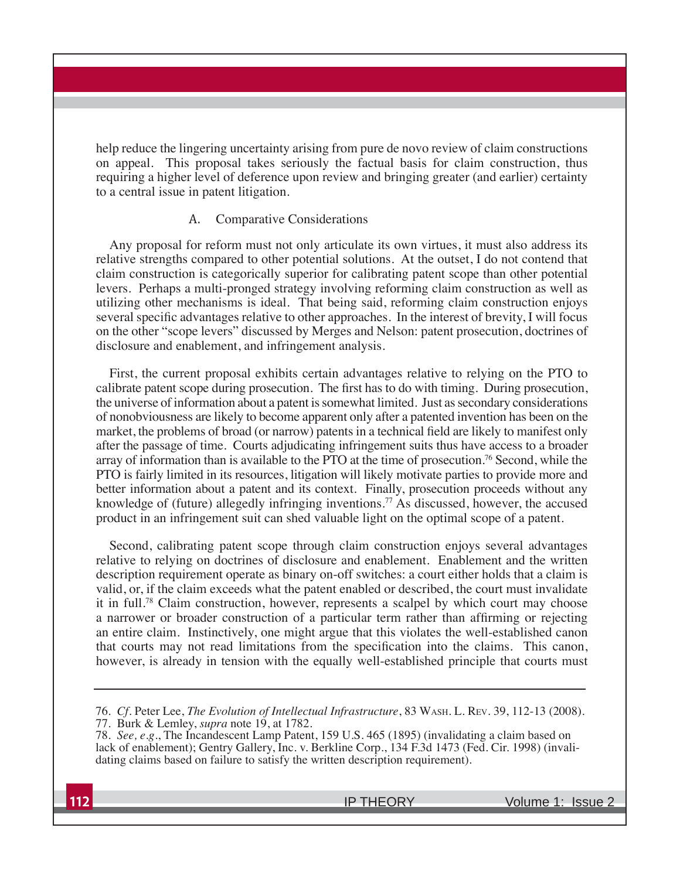help reduce the lingering uncertainty arising from pure de novo review of claim constructions on appeal. This proposal takes seriously the factual basis for claim construction, thus requiring a higher level of deference upon review and bringing greater (and earlier) certainty to a central issue in patent litigation.

#### A. Comparative Considerations

Any proposal for reform must not only articulate its own virtues, it must also address its relative strengths compared to other potential solutions. At the outset, I do not contend that claim construction is categorically superior for calibrating patent scope than other potential levers. Perhaps a multi-pronged strategy involving reforming claim construction as well as utilizing other mechanisms is ideal. That being said, reforming claim construction enjoys several specific advantages relative to other approaches. In the interest of brevity, I will focus on the other "scope levers" discussed by Merges and Nelson: patent prosecution, doctrines of disclosure and enablement, and infringement analysis.

First, the current proposal exhibits certain advantages relative to relying on the PTO to calibrate patent scope during prosecution. The first has to do with timing. During prosecution, the universe of information about a patent is somewhat limited. Just as secondary considerations of nonobviousness are likely to become apparent only after a patented invention has been on the market, the problems of broad (or narrow) patents in a technical field are likely to manifest only after the passage of time. Courts adjudicating infringement suits thus have access to a broader array of information than is available to the PTO at the time of prosecution.<sup>76</sup> Second, while the PTO is fairly limited in its resources, litigation will likely motivate parties to provide more and better information about a patent and its context. Finally, prosecution proceeds without any knowledge of (future) allegedly infringing inventions.<sup>77</sup> As discussed, however, the accused product in an infringement suit can shed valuable light on the optimal scope of a patent.

Second, calibrating patent scope through claim construction enjoys several advantages relative to relying on doctrines of disclosure and enablement. Enablement and the written description requirement operate as binary on-off switches: a court either holds that a claim is valid, or, if the claim exceeds what the patent enabled or described, the court must invalidate it in full.78 Claim construction, however, represents a scalpel by which court may choose a narrower or broader construction of a particular term rather than affirming or rejecting an entire claim. Instinctively, one might argue that this violates the well-established canon that courts may not read limitations from the specification into the claims. This canon, however, is already in tension with the equally well-established principle that courts must

<sup>76.</sup> *Cf*. Peter Lee, *The Evolution of Intellectual Infrastructure*, 83 WASH. L. REV.  77. Burk & Lemley, *supra* note 19, at 1782.

<sup>78.</sup> *See, e.g.*, The Incandescent Lamp Patent, 159 U.S. 465 (1895) (invalidating a claim based on lack of enablement); Gentry Gallery, Inc. v. Berkline Corp., 134 F.3d 1473 (Fed. Cir. 1998) (invalidating claims based on failure to satisfy the written description requirement).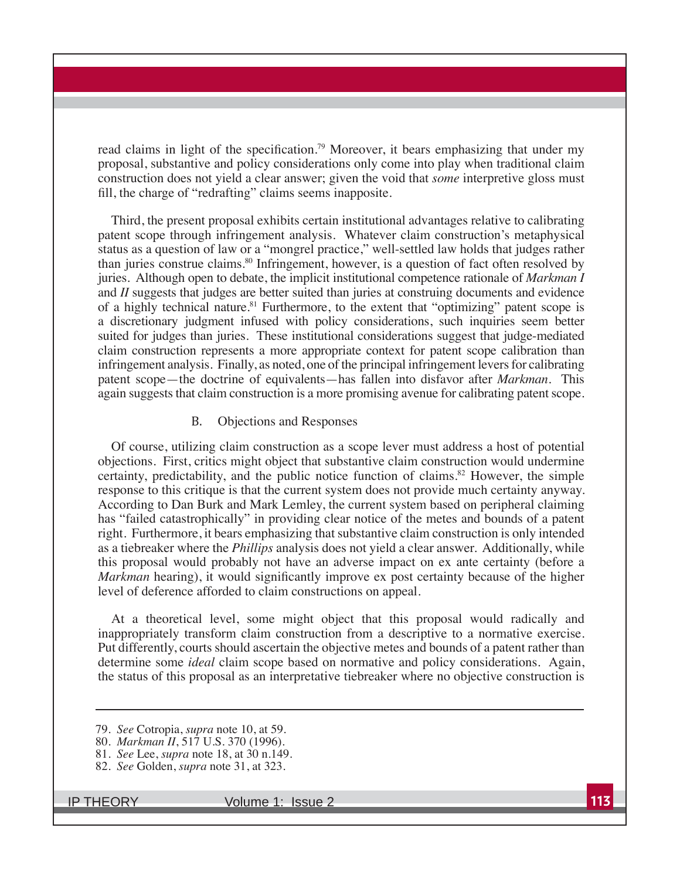read claims in light of the specification.<sup>79</sup> Moreover, it bears emphasizing that under my proposal, substantive and policy considerations only come into play when traditional claim construction does not yield a clear answer; given the void that *some* interpretive gloss must fill, the charge of "redrafting" claims seems inapposite.

Third, the present proposal exhibits certain institutional advantages relative to calibrating patent scope through infringement analysis. Whatever claim construction's metaphysical status as a question of law or a "mongrel practice," well-settled law holds that judges rather than juries construe claims.80 Infringement, however, is a question of fact often resolved by juries. Although open to debate, the implicit institutional competence rationale of *Markman I*  and *II* suggests that judges are better suited than juries at construing documents and evidence of a highly technical nature.<sup>81</sup> Furthermore, to the extent that "optimizing" patent scope is a discretionary judgment infused with policy considerations, such inquiries seem better suited for judges than juries. These institutional considerations suggest that judge-mediated claim construction represents a more appropriate context for patent scope calibration than infringement analysis. Finally, as noted, one of the principal infringement levers for calibrating patent scope—the doctrine of equivalents—has fallen into disfavor after *Markman*. This again suggests that claim construction is a more promising avenue for calibrating patent scope.

#### B. Objections and Responses

Of course, utilizing claim construction as a scope lever must address a host of potential objections. First, critics might object that substantive claim construction would undermine certainty, predictability, and the public notice function of claims.<sup>82</sup> However, the simple response to this critique is that the current system does not provide much certainty anyway. According to Dan Burk and Mark Lemley, the current system based on peripheral claiming has "failed catastrophically" in providing clear notice of the metes and bounds of a patent right. Furthermore, it bears emphasizing that substantive claim construction is only intended as a tiebreaker where the *Phillips* analysis does not yield a clear answer. Additionally, while this proposal would probably not have an adverse impact on ex ante certainty (before a *Markman* hearing), it would significantly improve ex post certainty because of the higher level of deference afforded to claim constructions on appeal.

At a theoretical level, some might object that this proposal would radically and inappropriately transform claim construction from a descriptive to a normative exercise. Put differently, courts should ascertain the objective metes and bounds of a patent rather than determine some *ideal* claim scope based on normative and policy considerations. Again, the status of this proposal as an interpretative tiebreaker where no objective construction is

81. *See* Lee, *supra* note 18, at 30 n.149.

<sup>79.</sup> *See* Cotropia, *supra* note 10, at 59.

<sup>80.</sup> *Markman II*, 517 U.S. 370 (1996).

<sup>82.</sup> *See* Golden, *supra* note 31, at 323.